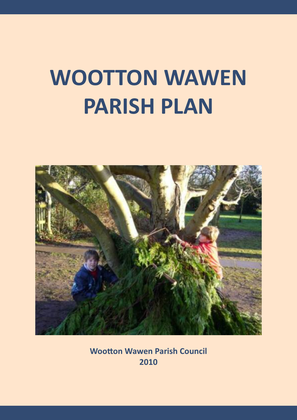# **WOOTTON WAWEN PARISH PLAN**



**Wootton Wawen Parish Council 2010**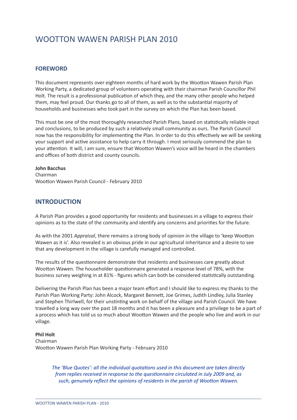## WOOTTON WAWEN PARISH PLAN 2010

## **FOREWORD**

This document represents over eighteen months of hard work by the Wootton Wawen Parish Plan Working Party, a dedicated group of volunteers operating with their chairman Parish Councillor Phil Holt. The result is a professional publication of which they, and the many other people who helped them, may feel proud. Our thanks go to all of them, as well as to the substantial majority of households and businesses who took part in the survey on which the Plan has been based.

This must be one of the most thoroughly researched Parish Plans, based on statistically reliable input and conclusions, to be produced by such a relatively small community as ours. The Parish Council now has the responsibility for implementing the Plan. In order to do this effectively we will be seeking your support and active assistance to help carry it through. I most seriously commend the plan to your attention. It will, I am sure, ensure that Wootton Wawen's voice will be heard in the chambers and offices of both district and county councils.

**John Bacchus** Chairman Wootton Wawen Parish Council - February 2010

## **INTRODUCTION**

A Parish Plan provides a good opportunity for residents and businesses in a village to express their opinions as to the state of the community and identify any concerns and priorities for the future.

As with the 2001 *Appraisal*, there remains a strong body of opinion in the village to 'keep Wootton Wawen as it is'. Also revealed is an obvious pride in our agricultural inheritance and a desire to see that any development in the village is carefully managed and controlled.

The results of the questionnaire demonstrate that residents and businesses care greatly about Wootton Wawen. The householder questionnaire generated a response level of 78%, with the business survey weighing in at 81% - figures which can both be considered statistically outstanding.

Delivering the Parish Plan has been a major team effort and I should like to express my thanks to the Parish Plan Working Party: John Alcock, Margaret Bennett, Joe Grimes, Judith Lindley, Julia Stanley and Stephen Thirlwell, for their unstinting work on behalf of the village and Parish Council. We have travelled a long way over the past 18 months and it has been a pleasure and a privilege to be a part of a process which has told us so much about Wootton Wawen and the people who live and work in our village.

#### **Phil Holt**

Chairman Wootton Wawen Parish Plan Working Party - February 2010

> *The 'Blue Quotes': all the individual quota+ons used in this document are taken directly from replies received in response to the questionnaire circulated in July 2009 and, as such, genuinely reflect the opinions of residents in the parish of Wootton Wawen.*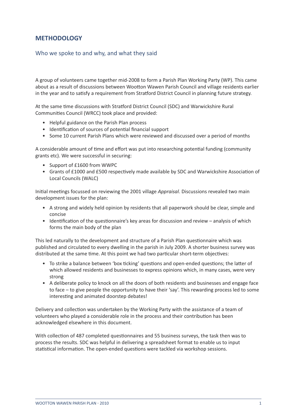## **METHODOLOGY**

## Who we spoke to and why, and what they said

A group of volunteers came together mid-2008 to form a Parish Plan Working Party (WP). This came about as a result of discussions between Wootton Wawen Parish Council and village residents earlier in the year and to satisfy a requirement from Stratford District Council in planning future strategy.

At the same time discussions with Stratford District Council (SDC) and Warwickshire Rural Communities Council (WRCC) took place and provided:

- Helpful guidance on the Parish Plan process
- Identification of sources of potential financial support
- Some 10 current Parish Plans which were reviewed and discussed over a period of months

A considerable amount of time and effort was put into researching potential funding (community grants etc). We were successful in securing:

- Support of £1600 from WWPC
- Grants of £1000 and £500 respectively made available by SDC and Warwickshire Association of Local Councils (WALC)

Initial meetings focussed on reviewing the 2001 village *Appraisal*. Discussions revealed two main development issues for the plan:

- A strong and widely held opinion by residents that all paperwork should be clear, simple and concise
- Identification of the questionnaire's key areas for discussion and review analysis of which forms the main body of the plan

This led naturally to the development and structure of a Parish Plan questionnaire which was published and circulated to every dwelling in the parish in July 2009. A shorter business survey was distributed at the same time. At this point we had two particular short-term objectives:

- To strike a balance between 'box ticking' questions and open-ended questions; the latter of which allowed residents and businesses to express opinions which, in many cases, were very strong
- A deliberate policy to knock on all the doors of both residents and businesses and engage face to face – to give people the opportunity to have their 'say'. This rewarding process led to some interesting and animated doorstep debates!

Delivery and collection was undertaken by the Working Party with the assistance of a team of volunteers who played a considerable role in the process and their contribution has been acknowledged elsewhere in this document.

With collection of 487 completed questionnaires and 55 business surveys, the task then was to process the results. SDC was helpful in delivering a spreadsheet format to enable us to input statistical information. The open-ended questions were tackled via workshop sessions.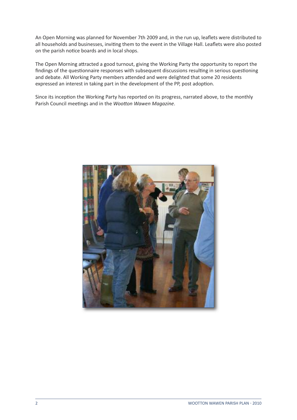An Open Morning was planned for November 7th 2009 and, in the run up, leaflets were distributed to all households and businesses, inviting them to the event in the Village Hall. Leaflets were also posted on the parish notice boards and in local shops.

The Open Morning attracted a good turnout, giving the Working Party the opportunity to report the findings of the questionnaire responses with subsequent discussions resulting in serious questioning and debate. All Working Party members attended and were delighted that some 20 residents expressed an interest in taking part in the development of the PP, post adoption.

Since its inception the Working Party has reported on its progress, narrated above, to the monthly Parish Council meetings and in the *Wootton Wawen Magazine*.

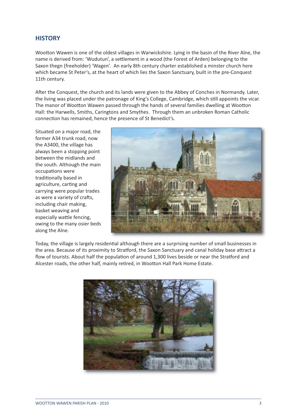## **HISTORY**

Wootton Wawen is one of the oldest villages in Warwickshire. Lying in the basin of the River Alne, the name is derived from: 'Wudutun', a settlement in a wood (the Forest of Arden) belonging to the Saxon thegn (freeholder) 'Wagen'. An early 8th century charter established a minster church here which became St Peter's, at the heart of which lies the Saxon Sanctuary, built in the pre-Conquest 11th century.

After the Conquest, the church and its lands were given to the Abbey of Conches in Normandy. Later, the living was placed under the patronage of King's College, Cambridge, which still appoints the vicar. The manor of Wootton Wawen passed through the hands of several families dwelling at Wootton Hall: the Harwells, Smiths, Caringtons and Smythes. Through them an unbroken Roman Catholic connection has remained, hence the presence of St Benedict's.

Situated on a major road, the former A34 trunk road, now the A3400, the village has always been a stopping point between the midlands and the south. Although the main occupations were traditionally based in agriculture, carting and carrying were popular trades as were a variety of crafts, including chair making, basket weaving and especially wattle fencing, owing to the many osier beds along the Alne.



Today, the village is largely residential although there are a surprising number of small businesses in the area. Because of its proximity to Stratford, the Saxon Sanctuary and canal holiday base attract a flow of tourists. About half the population of around 1,300 lives beside or near the Stratford and Alcester roads, the other half, mainly retired, in Wootton Hall Park Home Estate.

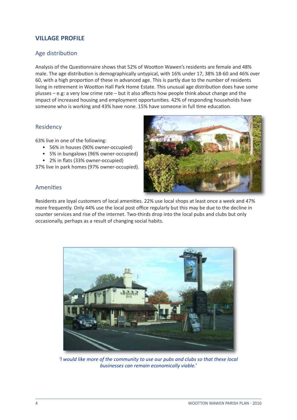## **VILLAGE PROFILE**

## Age distribution

Analysis of the Questionnaire shows that 52% of Wootton Wawen's residents are female and 48% male. The age distribution is demographically untypical, with 16% under 17, 38% 18-60 and 46% over 60, with a high proportion of these in advanced age. This is partly due to the number of residents living in retirement in Wootton Hall Park Home Estate. This unusual age distribution does have some plusses – e.g: a very low crime rate – but it also affects how people think about change and the impact of increased housing and employment opportunities. 42% of responding households have someone who is working and 43% have none. 15% have someone in full time education.

## Residency

63% live in one of the following:

- 56% in houses (90% owner-occupied)
- 5% in bungalows (96% owner-occupied)
- 2% in flats (33% owner-occupied)

37% live in park homes (97% owner-occupied).



## Amenities

Residents are loyal customers of local amenities. 22% use local shops at least once a week and 47% more frequently. Only 44% use the local post office regularly but this may be due to the decline in counter services and rise of the internet. Two-thirds drop into the local pubs and clubs but only occasionally, perhaps as a result of changing social habits.



*'I would like more of the community to use our pubs and clubs so that these local businesses can remain economically viable.'*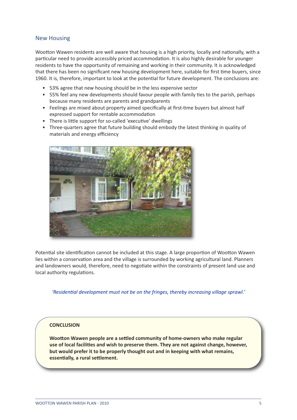## New Housing

Wootton Wawen residents are well aware that housing is a high priority, locally and nationally, with a particular need to provide accessibly priced accommodation. It is also highly desirable for younger residents to have the opportunity of remaining and working in their community. It is acknowledged that there has been no significant new housing development here, suitable for first time buyers, since 1960. It is, therefore, important to look at the potential for future development. The conclusions are:

- 53% agree that new housing should be in the less expensive sector
- 55% feel any new developments should favour people with family ties to the parish, perhaps because many residents are parents and grandparents
- Feelings are mixed about property aimed specifically at first-time buyers but almost half expressed support for rentable accommodation
- There is little support for so-called 'executive' dwellings
- Three-quarters agree that future building should embody the latest thinking in quality of materials and energy efficiency



Potential site identification cannot be included at this stage. A large proportion of Wootton Wawen lies within a conservation area and the village is surrounded by working agricultural land. Planners and landowners would, therefore, need to negotiate within the constraints of present land use and local authority regulations.

*'Residen+al development must not be on the fringes, thereby increasing village sprawl.'*

## **CONCLUSION**

**Wootton Wawen people are a settled community of home-owners who make regular use of local facili3es and wish to preserve them. They are not against change, however, but would prefer it to be properly thought out and in keeping with what remains, essentially, a rural settlement.**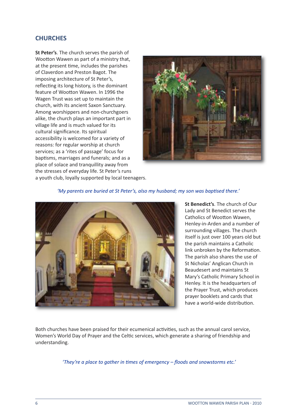## **CHURCHES**

**St Peter's**. The church serves the parish of Wootton Wawen as part of a ministry that, at the present time, includes the parishes of Claverdon and Preston Bagot. The imposing architecture of St Peter's, reflecting its long history, is the dominant feature of Wootton Wawen. In 1996 the Wagen Trust was set up to maintain the church, with its ancient Saxon Sanctuary. Among worshippers and non-churchgoers alike, the church plays an important part in village life and is much valued for its cultural significance. Its spiritual accessibility is welcomed for a variety of reasons: for regular worship at church services; as a 'rites of passage' focus for baptisms, marriages and funerals; and as a place of solace and tranquillity away from the stresses of everyday life. St Peter's runs a youth club, loyally supported by local teenagers.



'*My* parents are buried at St Peter's, also my husband; my son was baptised there.'



**St Benedict's**. The church of Our Lady and St Benedict serves the Catholics of Wootton Wawen, Henley-in-Arden and a number of surrounding villages. The church itself is just over 100 years old but the parish maintains a Catholic link unbroken by the Reformation. The parish also shares the use of St Nicholas' Anglican Church in Beaudesert and maintains St Mary's Catholic Primary School in Henley. It is the headquarters of the Prayer Trust, which produces prayer booklets and cards that have a world-wide distribution.

Both churches have been praised for their ecumenical activities, such as the annual carol service, Women's World Day of Prayer and the Celtic services, which generate a sharing of friendship and understanding.

*'They're a place to gather in +mes of emergency – floods and snowstorms etc.'*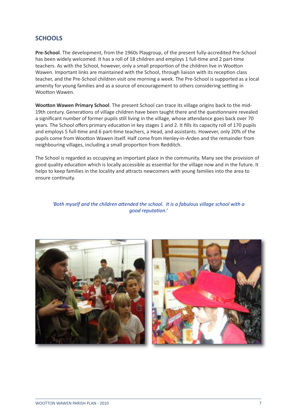## **SCHOOLS**

**Pre-School**. The development, from the 1960s Playgroup, of the present fully-accredited Pre-School has been widely welcomed. It has a roll of 18 children and employs 1 full-time and 2 part-time teachers. As with the School, however, only a small proportion of the children live in Wootton Wawen. Important links are maintained with the School, through liaison with its reception class teacher, and the Pre-School children visit one morning a week. The Pre-School is supported as a local amenity for young families and as a source of encouragement to others considering settling in Wootton Wawen.

**Wootton Wawen Primary School**. The present School can trace its village origins back to the mid-19th century. Generations of village children have been taught there and the questionnaire revealed a significant number of former pupils still living in the village, whose attendance goes back over 70 years. The School offers primary education in key stages 1 and 2. It fills its capacity roll of 170 pupils and employs 5 full-time and 6 part-time teachers, a Head, and assistants. However, only 20% of the pupils come from Wootton Wawen itself. Half come from Henley-in-Arden and the remainder from neighbouring villages, including a small proportion from Redditch.

The School is regarded as occupying an important place in the community. Many see the provision of good quality education which is locally accessible as essential for the village now and in the future. It helps to keep families in the locality and attracts newcomers with young families into the area to ensure continuity.

#### *'Both myself* and the *children* attended the *school.* It is a fabulous village school with a *good reputa+on.'*



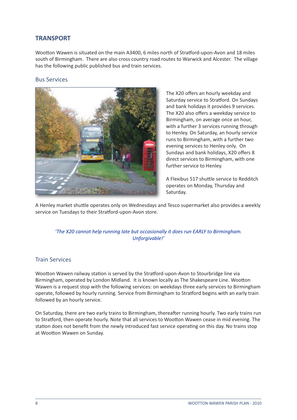## **TRANSPORT**

Wootton Wawen is situated on the main A3400, 6 miles north of Stratford-upon-Avon and 18 miles south of Birmingham. There are also cross country road routes to Warwick and Alcester. The village has the following public published bus and train services.

## Bus Services



The X20 offers an hourly weekday and Saturday service to Stratford. On Sundays and bank holidays it provides 9 services. The X20 also offers a weekday service to Birmingham, on average once an hour, with a further 3 services running through to Henley. On Saturday, an hourly service runs to Birmingham, with a further two evening services to Henley only. On Sundays and bank holidays, X20 offers 8 direct services to Birmingham, with one further service to Henley.

A Flexibus 517 shuttle service to Redditch operates on Monday, Thursday and Saturday.

A Henley market shuttle operates only on Wednesdays and Tesco supermarket also provides a weekly service on Tuesdays to their Stratford-upon-Avon store.

## *'The X20 cannot help running late but occasionally it does run EARLY to Birmingham. Unforgivable!'*

## Train Services

Wootton Wawen railway station is served by the Stratford-upon-Avon to Stourbridge line via Birmingham, operated by London Midland. It is known locally as The Shakespeare Line. Wootton Wawen is a request stop with the following services: on weekdays three early services to Birmingham operate, followed by hourly running. Service from Birmingham to Stratford begins with an early train followed by an hourly service.

On Saturday, there are two early trains to Birmingham, thereafter running hourly. Two early trains run to Stratford, then operate hourly. Note that all services to Wootton Wawen cease in mid evening. The station does not benefit from the newly introduced fast service operating on this day. No trains stop at Wootton Wawen on Sunday.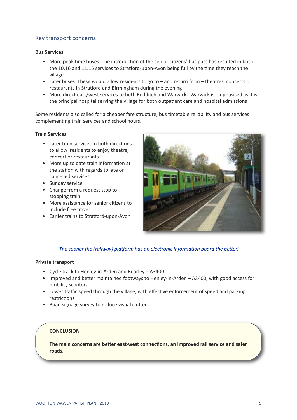## Key transport concerns

#### **Bus Services**

- More peak time buses. The introduction of the senior citizens' bus pass has resulted in both the 10.16 and 11.16 services to Stratford-upon-Avon being full by the time they reach the village
- Later buses. These would allow residents to go to and return from theatres, concerts or restaurants in Stratford and Birmingham during the evening
- More direct east/west services to both Redditch and Warwick. Warwick is emphasised as it is the principal hospital serving the village for both outpatient care and hospital admissions

Some residents also called for a cheaper fare structure, bus timetable reliability and bus services complementing train services and school hours.

#### **Train Services**

- Later train services in both directions to allow residents to enjoy theatre. concert or restaurants
- More up to date train information at the station with regards to late or cancelled services
- Sunday service
- Change from a request stop to stopping train
- More assistance for senior citizens to include free travel
- Earlier trains to Stratford-upon-Avon



## *'The* sooner the (railway) platform has an electronic information board the better.'

#### **Private transport**

- Cycle track to Henley-in-Arden and Bearley A3400
- Improved and better maintained footways to Henley-in-Arden  $-$  A3400, with good access for mobility scooters
- Lower traffic speed through the village, with effective enforcement of speed and parking restrictions
- Road signage survey to reduce visual clutter

## **CONCLUSION**

**The main concerns are better east-west connections, an improved rail service and safer roads.**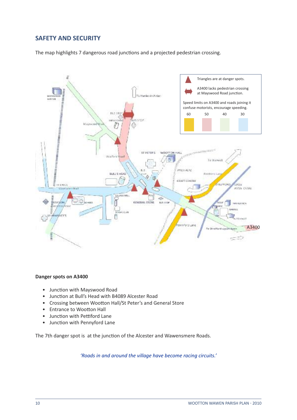## **SAFETY AND SECURITY**

The map highlights 7 dangerous road junctions and a projected pedestrian crossing.



#### **Danger spots on A3400**

- Junction with Mayswood Road
- Junction at Bull's Head with B4089 Alcester Road
- Crossing between Wootton Hall/St Peter's and General Store
- **Entrance to Wootton Hall**
- Junction with Pettiford Lane
- Junction with Pennyford Lane

The 7th danger spot is at the junction of the Alcester and Wawensmere Roads.

*'Roads in and around the village have become racing circuits.'*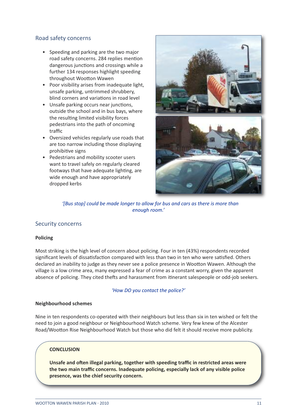## Road safety concerns

- Speeding and parking are the two major road safety concerns. 284 replies mention dangerous junctions and crossings while a further 134 responses highlight speeding throughout Wootton Wawen
- Poor visibility arises from inadequate light, unsafe parking, untrimmed shrubbery, blind corners and variations in road level
- Unsafe parking occurs near junctions, outside the school and in bus bays, where the resulting limited visibility forces pedestrians into the path of oncoming traffic
- Oversized vehicles regularly use roads that are too narrow including those displaying prohibitive signs
- Pedestrians and mobility scooter users want to travel safely on regularly cleared footways that have adequate lighting, are wide enough and have appropriately dropped kerbs



*'[Bus stop] could be made longer to allow for bus and cars as there is more than enough room.'*

## Security concerns

## **Policing**

Most striking is the high level of concern about policing. Four in ten (43%) respondents recorded significant levels of dissatisfaction compared with less than two in ten who were satisfied. Others declared an inability to judge as they never see a police presence in Wootton Wawen. Although the village is a low crime area, many expressed a fear of crime as a constant worry, given the apparent absence of policing. They cited thefts and harassment from itinerant salespeople or odd-job seekers.

#### *'How DO you contact the police?'*

#### **Neighbourhood schemes**

Nine in ten respondents co-operated with their neighbours but less than six in ten wished or felt the need to join a good neighbour or Neighbourhood Watch scheme. Very few knew of the Alcester Road/Wootton Rise Neighbourhood Watch but those who did felt it should receive more publicity.

## **CONCLUSION**

**Unsafe and o#en illegal parking, together with speeding traffic in restricted areas were the two main traffic concerns. Inadequate policing, especially lack of any visible police presence, was the chief security concern.**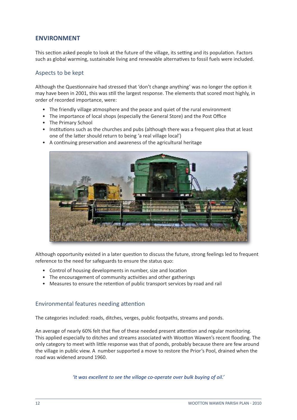## **ENVIRONMENT**

This section asked people to look at the future of the village, its setting and its population. Factors such as global warming, sustainable living and renewable alternatives to fossil fuels were included.

## Aspects to be kept

Although the Questionnaire had stressed that 'don't change anything' was no longer the option it may have been in 2001, this was still the largest response. The elements that scored most highly, in order of recorded importance, were:

- The friendly village atmosphere and the peace and quiet of the rural environment
- The importance of local shops (especially the General Store) and the Post Office
- The Primary School
- Institutions such as the churches and pubs (although there was a frequent plea that at least one of the latter should return to being 'a real village local')



• A continuing preservation and awareness of the agricultural heritage

Although opportunity existed in a later question to discuss the future, strong feelings led to frequent reference to the need for safeguards to ensure the status quo:

- Control of housing developments in number, size and location
- The encouragement of community activities and other gatherings
- Measures to ensure the retention of public transport services by road and rail

## Environmental features needing attention

The categories included: roads, ditches, verges, public footpaths, streams and ponds.

An average of nearly 60% felt that five of these needed present attention and regular monitoring. This applied especially to ditches and streams associated with Wootton Wawen's recent flooding. The only category to meet with little response was that of ponds, probably because there are few around the village in public view. A number supported a move to restore the Prior's Pool, drained when the road was widened around 1960.

*'It was excellent to see the village co-operate over bulk buying of oil.'*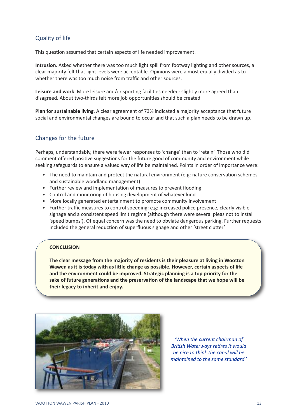## Quality of life

This question assumed that certain aspects of life needed improvement.

**Intrusion**. Asked whether there was too much light spill from footway lighting and other sources, a clear majority felt that light levels were acceptable. Opinions were almost equally divided as to whether there was too much noise from traffic and other sources.

**Leisure and work**. More leisure and/or sporting facilities needed: slightly more agreed than disagreed. About two-thirds felt more job opportunities should be created.

**Plan for sustainable living**. A clear agreement of 73% indicated a majority acceptance that future social and environmental changes are bound to occur and that such a plan needs to be drawn up.

## Changes for the future

Perhaps, understandably, there were fewer responses to 'change' than to 'retain'. Those who did comment offered positive suggestions for the future good of community and environment while seeking safeguards to ensure a valued way of life be maintained. Points in order of importance were:

- The need to maintain and protect the natural environment (e.g: nature conservation schemes and sustainable woodland management)
- Further review and implementation of measures to prevent flooding
- Control and monitoring of housing development of whatever kind
- More locally generated entertainment to promote community involvement
- Further traffic measures to control speeding: e.g: increased police presence, clearly visible signage and a consistent speed limit regime (although there were several pleas not to install 'speed bumps'). Of equal concern was the need to obviate dangerous parking. Further requests included the general reduction of superfluous signage and other 'street clutter'

## **CONCLUSION**

**The clear message from the majority of residents is their pleasure at living in Woo4on Wawen as it is today with as li4le change as possible. However, certain aspects of life and the environment could be improved. Strategic planning is a top priority for the sake** of future generations and the preservation of the landscape that we hope will be **their legacy to inherit and enjoy.**



*'When the current chairman of* **British Waterways retires it would** *be nice to think the canal will be maintained to the same standard.'*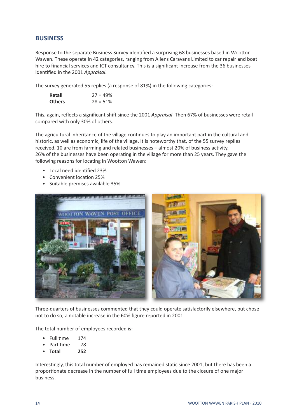## **BUSINESS**

Response to the separate Business Survey identified a surprising 68 businesses based in Wootton Wawen. These operate in 42 categories, ranging from Allens Caravans Limited to car repair and boat hire to financial services and ICT consultancy. This is a significant increase from the 36 businesses identified in the 2001 Appraisal.

The survey generated 55 replies (a response of 81%) in the following categories:

| Retail        | $27 = 49\%$ |
|---------------|-------------|
| <b>Others</b> | $28 = 51%$  |

This, again, reflects a significant shift since the 2001 *Appraisal*. Then 67% of businesses were retail compared with only 30% of others.

The agricultural inheritance of the village continues to play an important part in the cultural and historic, as well as economic, life of the village. It is noteworthy that, of the 55 survey replies received, 10 are from farming and related businesses – almost 20% of business activity. 26% of the businesses have been operating in the village for more than 25 years. They gave the following reasons for locating in Wootton Wawen:

- Local need identified 23%
- Convenient location 25%
- Suitable premises available 35%



Three-quarters of businesses commented that they could operate satisfactorily elsewhere, but chose not to do so; a notable increase in the 60% figure reported in 2001.

The total number of employees recorded is:

- Full time 174
- Part time 78
- **Total 252**

Interestingly, this total number of employed has remained static since 2001, but there has been a proportionate decrease in the number of full time employees due to the closure of one major business.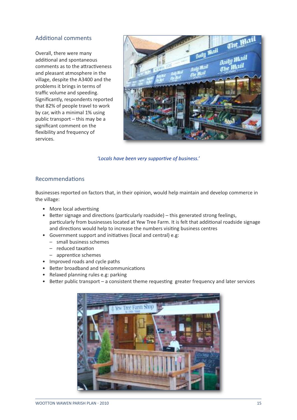## Additional comments

Overall, there were many additional and spontaneous comments as to the attractiveness and pleasant atmosphere in the village, despite the A3400 and the problems it brings in terms of traffic volume and speeding. Significantly, respondents reported that 82% of people travel to work by car, with a minimal 1% using public transport – this may be a significant comment on the flexibility and frequency of services.



*'Locals* have *been* very *supportive* of *business.'* 

## Recommendations

Businesses reported on factors that, in their opinion, would help maintain and develop commerce in the village:

- More local advertising
- Better signage and directions (particularly roadside) this generated strong feelings, particularly from businesses located at Yew Tree Farm. It is felt that additional roadside signage and directions would help to increase the numbers visiting business centres
- Government support and initiatives (local and central) e.g:
	- small business schemes
		- $-$  reduced taxation
		- $-$  apprentice schemes
- Improved roads and cycle paths
- Better broadband and telecommunications
- Relaxed planning rules e.g: parking
- $\bullet$  Better public transport a consistent theme requesting greater frequency and later services

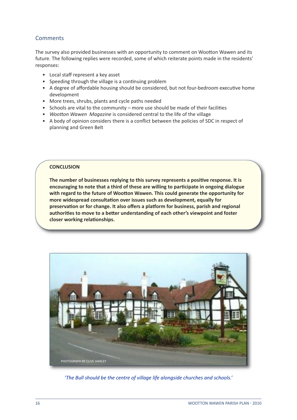## **Comments**

The survey also provided businesses with an opportunity to comment on Wootton Wawen and its future. The following replies were recorded, some of which reiterate points made in the residents' responses:

- Local staff represent a key asset
- Speeding through the village is a continuing problem
- A degree of affordable housing should be considered, but not four-bedroom executive home development
- More trees, shrubs, plants and cycle paths needed
- Schools are vital to the community more use should be made of their facilities
- *Wootton Wawen Magazine* is considered central to the life of the village
- A body of opinion considers there is a conflict between the policies of SDC in respect of planning and Green Belt

## **CONCLUSION**

**The number of businesses replying to this survey represents a positive response. It is encouraging to note that a third of these are willing to par3cipate in ongoing dialogue with regard to the future of Woo4on Wawen. This could generate the opportunity for more** widespread consultation over issues such as development, equally for **preserva3on or for change. It also offers a pla2orm for business, parish and regional authori3es to move to a be4er understanding of each other's viewpoint and foster closer** working relationships.



*'The Bull should be the centre of village life alongside churches and schools.'*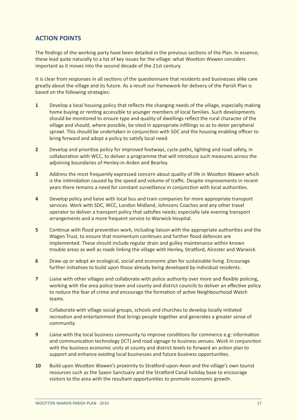## **ACTION POINTS**

The findings of the working party have been detailed in the previous sections of the Plan. In essence, these lead quite naturally to a list of key issues for the village: what Wootton Wawen considers important as it moves into the second decade of the 21st century.

It is clear from responses in all sections of the questionnaire that residents and businesses alike care greatly about the village and its future. As a result our framework for delivery of the Parish Plan is based on the following strategies:

- **1** Develop a local housing policy that reflects the changing needs of the village, especially making home buying or renting accessible to younger members of local families. Such developments should be monitored to ensure type and quality of dwellings reflect the rural character of the village and should, where possible, be sited in appropriate infillings so as to deter peripheral sprawl. This should be undertaken in conjunction with SDC and the housing enabling officer to bring forward and adopt a policy to satisfy local need.
- **2** Develop and prioritise policy for improved footways, cycle paths, lighting and road safety, in collaboration with WCC, to deliver a programme that will introduce such measures across the adjoining boundaries of Henley-in-Arden and Bearley.
- **3** Address the most frequently expressed concern about quality of life in Wootton Wawen which is the intimidation caused by the speed and volume of traffic. Despite improvements in recent years there remains a need for constant surveillance in conjunction with local authorities.
- **4** Develop policy and liaise with local bus and train companies for more appropriate transport services. Work with SDC, WCC, London Midland, Johnsons Coaches and any other travel operator to deliver a transport policy that satisfies needs; especially late evening transport arrangements and a more frequent service to Warwick Hospital.
- **5** Continue with flood prevention work, including liaison with the appropriate authorities and the Wagen Trust, to ensure that momentum continues and further flood defences are implemented. These should include regular drain and gulley maintenance within known trouble areas as well as roads linking the village with Henley, Stratford, Alcester and Warwick.
- **6** Draw up or adopt an ecological, social and economic plan for sustainable living. Encourage further initiatives to build upon those already being developed by individual residents.
- **7** Liaise with other villages and collaborate with police authority over more and flexible policing, working with the area police team and county and district councils to deliver an effective policy to reduce the fear of crime and encourage the formation of active Neighbourhood Watch teams.
- 8 Collaborate with village social groups, schools and churches to develop locally initiated recreation and entertainment that brings people together and generates a greater sense of community.
- **9** Liaise with the local business community to improve conditions for commerce e.g: information and communication technology (ICT) and road signage to business venues. Work in conjunction with the business economic units at county and district levels to forward an action plan to support and enhance existing local businesses and future business opportunities.
- **10** Build upon Wootton Wawen's proximity to Stratford-upon-Avon and the village's own tourist resources such as the Saxon Sanctuary and the Stratford Canal holiday base to encourage visitors to the area with the resultant opportunities to promote economic growth.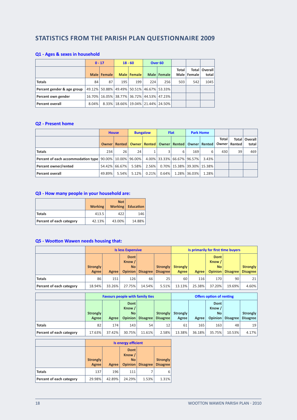## **STATISTICS FROM THE PARISH PLAN QUESTIONNAIRE 2009**

## **Q1 - Ages & sexes in household**

|                            |          | $0 - 17$<br>$18 - 60$ |     | Over <sub>60</sub> |     |                                           |       |               |                          |
|----------------------------|----------|-----------------------|-----|--------------------|-----|-------------------------------------------|-------|---------------|--------------------------|
|                            |          | Male Female           |     | Male   Female      |     | Male   Female                             | Total | Male   Female | Total   Overall<br>total |
| <b>Totals</b>              | 84       | 87                    | 195 | 199                | 224 | 256                                       | 503   | 542           | 1045                     |
| Percent gender & age group |          |                       |     |                    |     | 49.12% 50.88% 49.49% 50.51% 46.67% 53.33% |       |               |                          |
| Percent own gender         |          |                       |     |                    |     | 16.70% 16.05% 38.77% 36.72% 44.53% 47.23% |       |               |                          |
| <b>Percent overall</b>     | $8.04\%$ |                       |     |                    |     | 8.33%   18.66%   19.04%   21.44%   24.50% |       |               |                          |

#### **Q2 - Present home**

|                                                                                                       |         | <b>House</b>  |          | <b>Bungalow</b> |       | <b>Flat</b> |              | <b>Park Home</b>                                          |       |                         |                  |
|-------------------------------------------------------------------------------------------------------|---------|---------------|----------|-----------------|-------|-------------|--------------|-----------------------------------------------------------|-------|-------------------------|------------------|
|                                                                                                       | Owner I |               |          |                 |       |             |              | Rented   Owner   Rented   Owner   Rented   Owner   Rented | Total | Total<br>Owner   Rented | Overall<br>total |
| <b>Totals</b>                                                                                         | 234     | 26            | 24       |                 |       | 6           | 169          | 6                                                         | 430   | 39                      | 469              |
| Percent of each accommodation type   90.00%   10.00%   96.00%   $\,$ 4.00%   33.33%   66.67%   96.57% |         |               |          |                 |       |             |              | 3.43%                                                     |       |                         |                  |
| Percent owner/rented                                                                                  |         | 54.42% 66.67% | 5.58%    | 2.56%           |       |             |              | 0.70%   15.38%   39.30%   15.38%                          |       |                         |                  |
| Percent overall                                                                                       | 49.89%  | 5.54%         | $5.12\%$ | 0.21%           | 0.64% |             | 1.28% 36.03% | 1.28%                                                     |       |                         |                  |

#### **Q3 - How many people in your household are:**

|                          | <b>Working</b> | Not  <br><b>Working</b> | <b>Education</b> |
|--------------------------|----------------|-------------------------|------------------|
| <b>Totals</b>            | 413.5          | 422                     | 146              |
| Percent of each category | 42.13%         | 43.00%                  | 14.88%           |

#### **Q5** - **Wootton Wawen needs housing that:**

|                          | <b>Is less Expensive</b> |        |                                                      |          | Is primarily for first time buyers |                          |              |                                                      |          |                             |
|--------------------------|--------------------------|--------|------------------------------------------------------|----------|------------------------------------|--------------------------|--------------|------------------------------------------------------|----------|-----------------------------|
|                          | <b>Strongly</b><br>Agree | Agree  | <b>Dont</b><br>Know /<br><b>No</b><br><b>Opinion</b> | Disagree | <b>Strongly</b><br><b>Disagree</b> | <b>Strongly</b><br>Agree | <b>Agree</b> | <b>Dont</b><br>Know /<br><b>No</b><br><b>Opinion</b> | Disagree | Strongly<br><b>Disagree</b> |
| <b>Totals</b>            | 86                       | 151    | 126                                                  | 66       | 25                                 | 60                       | 116          | 170                                                  | 90       | 21 I                        |
| Percent of each category | 18.94%                   | 33.26% | 27.75%                                               | 14.54%   | 5.51%                              | 13.13%                   | 25.38%       | 37.20%                                               | 19.69%   | 4.60%                       |

|                          |                          | <b>Favours people with family ties</b> |                                                      |                 |                             | <b>Offers option of renting</b> |        |                                               |          |                      |
|--------------------------|--------------------------|----------------------------------------|------------------------------------------------------|-----------------|-----------------------------|---------------------------------|--------|-----------------------------------------------|----------|----------------------|
|                          | <b>Strongly</b><br>Agree | Agree                                  | <b>Dont</b><br>Know /<br><b>No</b><br><b>Opinion</b> | Disagree        | Strongly<br><b>Disagree</b> | <b>Strongly</b><br>Agree        | Agree  | Dont<br>Know /<br><b>No</b><br><b>Opinion</b> | Disagree | Strongly<br>Disagree |
| <b>Totals</b>            | 82                       | 174                                    | 143                                                  | 54 <sub>1</sub> | 12                          | 61                              | 165    | 163                                           | 48       | 19 <sup>1</sup>      |
| Percent of each category | 17.63%                   | 37.42%                                 | 30.75%                                               | 11.61%          | 2.58%                       | 13.38%                          | 36.18% | 35.75%                                        | 10.53%   | 4.17%                |

|                          | Is energy efficient |        |                                        |                 |                                    |  |  |
|--------------------------|---------------------|--------|----------------------------------------|-----------------|------------------------------------|--|--|
|                          | Strongly<br>Agree   | Agree  | Dont<br>Know /<br><b>No</b><br>Opinion | <b>Disagree</b> | <b>Strongly</b><br><b>Disagree</b> |  |  |
| <b>Totals</b>            | 137                 | 196    | 111                                    |                 | 6                                  |  |  |
| Percent of each category | 29.98%              | 42.89% | 24.29%                                 | 1.53%           | 1.31%                              |  |  |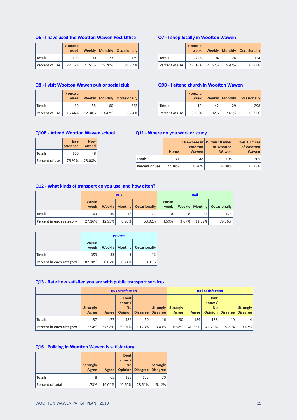#### **Q6 - I have used the Woo4on Wawen Post Office**

|                | $>$ once a<br>week |        |        | <b>Weekly   Monthly   Occasionally  </b> |
|----------------|--------------------|--------|--------|------------------------------------------|
| Totals         | 103                | 100    | 73     | 189                                      |
| Percent of use | 22.15%             | 21.51% | 15.70% | 40.64%                                   |

#### **Q8 - I visit Woo4on Wawen pub or social club**

|                | $>$ once a<br>week |        |        | Weekly   Monthly   Occasionally |
|----------------|--------------------|--------|--------|---------------------------------|
| Totals         | 69                 | 55     | 60     | 263                             |
| Percent of use | 15.44%             | 12.30% | 13.42% | 58.84%                          |

#### **Q7** - **I** shop locally in Wootton Wawen

|                | > once a<br>week |        |       | Weekly   Monthly   Occasionally |
|----------------|------------------|--------|-------|---------------------------------|
| Totals         | 226              | 104    | 26!   | 124                             |
| Percent of use | 47.08%           | 21.67% | 5.42% | 25.83%                          |

## **Q9B** - **I** attend church in Wootton Wawen

|                | > once a<br>week |        |          | Weekly   Monthly   Occasionally |
|----------------|------------------|--------|----------|---------------------------------|
| <b>Totals</b>  | 12               | 42     | 29       | 298                             |
| Percent of use | 3.15%            | 11.02% | $7.61\%$ | 78.22%                          |

#### **Q10B - Attend Wootton Wawen school**

|                | Have<br>attended | <b>Now</b><br>attend |
|----------------|------------------|----------------------|
| <b>Totals</b>  | 160              | 48                   |
| Percent of use | 76.92%           | 23.08%               |

#### **Q11 - Where do you work or study**

|                | Home   | <b>Wootton</b><br><b>Wawen</b> | Elsewhere in   Within 10 miles<br>of Wootton<br><b>Wawen</b> | Over 10 miles<br>of Wootton<br><b>Wawen</b> |
|----------------|--------|--------------------------------|--------------------------------------------------------------|---------------------------------------------|
| <b>Totals</b>  | 130    | 48                             | 198                                                          | 205                                         |
| Percent of use | 22.38% | 8.26%                          | 34.08%                                                       | 35.28%                                      |

#### **Q12** - What kinds of transport do you use, and how often?

|                          |               |        | <b>Bus</b> |                                 | Rail            |          |        |                                 |  |
|--------------------------|---------------|--------|------------|---------------------------------|-----------------|----------|--------|---------------------------------|--|
|                          | >once<br>week |        |            | Weekly   Monthly   Occasionally | >once<br>week l |          |        | Weekly   Monthly   Occasionally |  |
| Totals                   | 63            | 30     | 16         | 123                             | 10              |          | 27     | 173 <sup>1</sup>                |  |
| Percent in each category | 27.16%        | 12.93% | $6.90\%$   | 53.02%                          | 4.59%           | $3.67\%$ | 12.39% | 79.36%                          |  |

|                          |               | <b>Private</b> |         |                     |  |  |  |  |  |  |  |
|--------------------------|---------------|----------------|---------|---------------------|--|--|--|--|--|--|--|
|                          | >once<br>week | Weekly         | Monthly | <b>Occasionally</b> |  |  |  |  |  |  |  |
| Totals                   | 359           | 33             |         | 16                  |  |  |  |  |  |  |  |
| Percent in each category | 87.78%        | 8.07%          | 0.24%   | 3.91%               |  |  |  |  |  |  |  |

#### **Q13** - Rate how satisfied you are with public transport services

|                          | <b>Bus satisfaction</b>  |              |                                               |                 |                                    | <b>Rail satisfaction</b> |        |                                               |                 |                             |  |
|--------------------------|--------------------------|--------------|-----------------------------------------------|-----------------|------------------------------------|--------------------------|--------|-----------------------------------------------|-----------------|-----------------------------|--|
|                          | <b>Strongly</b><br>Agree | <b>Agree</b> | <b>Dont</b><br>Know /<br><b>No</b><br>Opinion | <b>Disagree</b> | <b>Strongly</b><br><b>Disagree</b> | <b>Strongly</b><br>Agree | Agree  | <b>Dont</b><br>Know /<br><b>No</b><br>Opinion | <b>Disagree</b> | Strongly<br><b>Disagree</b> |  |
| <b>Totals</b>            | 37                       | 177          | 186                                           | 50              | 16                                 | 30                       | 184    | 188                                           | 40              | 14                          |  |
| Percent in each category | 7.94%                    | 37.98%       | 39.91%                                        | 10.73%          | 3.43%                              | 6.58%                    | 40.35% | 41.23%                                        | 8.77%           | $3.07\%$                    |  |

#### **Q16** - **Policing** in **Wootton Wawen** is satisfactory

|                  | <b>Strongly</b><br>Agree | <b>Agree</b> | Dont  <br>Know /<br><b>No</b> | <b>Opinion</b> Disagree | <b>Strongly</b><br><b>Disagree</b> |
|------------------|--------------------------|--------------|-------------------------------|-------------------------|------------------------------------|
| <b>Totals</b>    | 8                        | 65           | 188                           | 132                     | 70                                 |
| Percent of total | 1.73%                    | 14.04%       | 40.60%                        | 28.51%                  | 15.12%                             |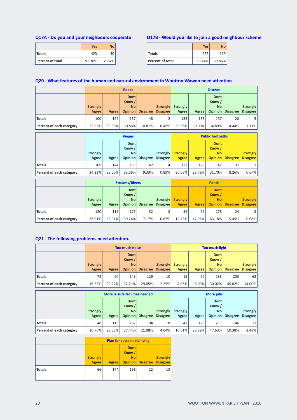#### **Q17A - Do you and your neighbours cooperate**

|                  | <b>Yes</b> | NΩ    |
|------------------|------------|-------|
| <b>Totals</b>    | 423        |       |
| Percent of total | 91.36%     | 8.64% |

#### **Q17B - Would you like to join a good neighbour scheme**

|                         | <b>Yes</b> | Nο     |
|-------------------------|------------|--------|
| Totals                  | 255        | 169    |
| <b>Percent of total</b> | 60.14%     | 39.86% |

#### **Q20** - What features of the human and natural environment in Wootton Wawen need attention

|                          | <b>Roads</b>                   |        |                                               |          |                                    | <b>Ditches</b>    |        |                                        |          |                                    |  |
|--------------------------|--------------------------------|--------|-----------------------------------------------|----------|------------------------------------|-------------------|--------|----------------------------------------|----------|------------------------------------|--|
|                          | Strongly <sup>1</sup><br>Agree | Agree  | Dont<br>Know /<br><b>No</b><br><b>Opinion</b> | Disagree | <b>Strongly</b><br><b>Disagree</b> | Strongly<br>Agree | Agree  | Dont<br>Know /<br><b>No</b><br>Opinion | Disagree | <b>Strongly</b><br><b>Disagree</b> |  |
| <b>Totals</b>            | 100                            | 157    | 137                                           | 48       |                                    | 133               | 135    | 157 <sub>1</sub>                       | 20       |                                    |  |
| Percent of each category | 22.52%                         | 35.36% | 30.86%                                        | 10.81%   | 0.45%                              | 29.56%            | 30.00% | 34.89%                                 | 4.44%    | $1.11\%$                           |  |

|                          |                          | <b>Verges</b> |                                        |          |                             |                          | <b>Public footpaths</b> |                                                      |          |                                    |  |  |
|--------------------------|--------------------------|---------------|----------------------------------------|----------|-----------------------------|--------------------------|-------------------------|------------------------------------------------------|----------|------------------------------------|--|--|
|                          | <b>Strongly</b><br>Agree | Agree         | Dont<br>Know /<br><b>No</b><br>Opinion | Disagree | Strongly<br><b>Disagree</b> | <b>Strongly</b><br>Agree | Agree                   | <b>Dont</b><br>Know /<br><b>No</b><br><b>Opinion</b> | Disagree | <b>Strongly</b><br><b>Disagree</b> |  |  |
| <b>Totals</b>            | 109                      | 144           | 151                                    | 42       | 4                           | 137                      | 129                     | 142                                                  | 37       | 3                                  |  |  |
| Percent of each category | 24.22%                   | 32.00%        | 33.56%                                 | 9.33%    | 0.89%                       | 30.58%                   | 28.79%                  | 31.70%                                               | 8.26%    | $0.67\%$                           |  |  |

|                          |                          | <b>Streams/Rivers</b> |                                        |          |                             |                                 | <b>Ponds</b> |                                               |                 |                                    |  |  |
|--------------------------|--------------------------|-----------------------|----------------------------------------|----------|-----------------------------|---------------------------------|--------------|-----------------------------------------------|-----------------|------------------------------------|--|--|
|                          | <b>Strongly</b><br>Agree | Agree                 | Dont<br>Know /<br><b>No</b><br>Opinion | Disagree | Strongly<br><b>Disagree</b> | <b>Strongly</b><br><b>Agree</b> | Agree        | <b>Dont</b><br>Know /<br><b>No</b><br>Opinion | <b>Disagree</b> | <b>Strongly</b><br><b>Disagree</b> |  |  |
| <b>Totals</b>            | 120                      | 116                   | 175                                    | 32       |                             | 56                              | 79           | 278                                           | 24              | 3 <sup>1</sup>                     |  |  |
| Percent of each category | 26.91%                   | 26.01%                | 39.24%                                 | 7.17%    | 0.67%                       | 12.73%                          | 17.95%       | 63.18%                                        | 5.45%           | 0.68%                              |  |  |

## **Q21** - The following problems need attention.

|                          | <b>Too much noise</b>    |        |                                               |                 |                                    | <b>Too much light</b>           |       |                                               |          |                      |
|--------------------------|--------------------------|--------|-----------------------------------------------|-----------------|------------------------------------|---------------------------------|-------|-----------------------------------------------|----------|----------------------|
|                          | <b>Strongly</b><br>Agree | Agree  | <b>Dont</b><br>Know /<br><b>No</b><br>Opinion | <b>Disagree</b> | <b>Strongly</b><br><b>Disagree</b> | <b>Strongly</b><br><b>Agree</b> | Agree | <b>Dont</b><br>Know /<br><b>No</b><br>Opinion | Disagree | Strongly<br>Disagree |
| <b>Totals</b>            | 72                       | 90     | 143                                           | 129             | 10                                 | 18                              | 27    | 133                                           | 203      | 62                   |
| Percent of each category | 16.22%                   | 20.27% | 32.21%                                        | 29.05%          | 2.25%                              | 4.06%                           | 6.09% | 30.02%                                        | 45.82%   | 14.00%               |

|                          |                          | More leisure facilities needed |                                               |          |                                    |                          | <b>More jobs</b> |                                               |                 |                      |  |  |
|--------------------------|--------------------------|--------------------------------|-----------------------------------------------|----------|------------------------------------|--------------------------|------------------|-----------------------------------------------|-----------------|----------------------|--|--|
|                          | <b>Strongly</b><br>Agree | Agree                          | Dont<br>Know /<br><b>No</b><br><b>Opinion</b> | Disagree | <b>Strongly</b><br><b>Disagree</b> | <b>Strongly</b><br>Agree | Agree            | Dont<br>Know /<br><b>No</b><br><b>Opinion</b> | <b>Disagree</b> | Strongly<br>Disagree |  |  |
| <b>Totals</b>            | 48                       | 119                            | 167                                           | 94       | 18                                 | 47                       | 128              | 211                                           | 46              | 11 <sup>1</sup>      |  |  |
| Percent of each category | 10.76%                   | 26.68%                         | 37.44%                                        | 21.08%   | 4.04%                              | 10.61%                   | 28.89%           | 47.63%                                        | 10.38%          | 2.48%                |  |  |

|               | <b>Plan for sustainable living</b> |              |                                    |                         |                                    |
|---------------|------------------------------------|--------------|------------------------------------|-------------------------|------------------------------------|
|               | <b>Strongly</b><br><b>Agree</b>    | <b>Agree</b> | <b>Dont</b><br>Know /<br><b>No</b> | <b>Opinion</b> Disagree | <b>Strongly</b><br><b>Disagree</b> |
| <b>Totals</b> | 66                                 | 174          | 168                                | 22                      | 13                                 |
|               |                                    |              |                                    |                         |                                    |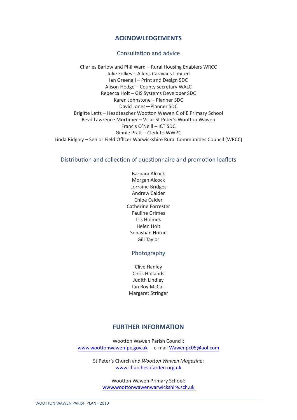## **ACKNOWLEDGEMENTS**

## Consultation and advice

Charles Barlow and Phil Ward – Rural Housing Enablers WRCC Julie Folkes – Allens Caravans Limited Ian Greenall – Print and Design SDC Alison Hodge – County secretary WALC Rebecca Holt – GIS Systems Developer SDC Karen Johnstone – Planner SDC David Jones—Planner SDC Brigitte Letts – Headteacher Wootton Wawen C of E Primary School Revd Lawrence Mortimer – Vicar St Peter's Wootton Wawen Francis O'Neill – ICT SDC Ginnie Pratt – Clerk to WWPC Linda Ridgley – Senior Field Officer Warwickshire Rural Communities Council (WRCC)

## Distribution and collection of questionnaire and promotion leaflets

Barbara Alcock Morgan Alcock Lorraine Bridges Andrew Calder Chloe Calder Catherine Forrester Pauline Grimes Iris Holmes Helen Holt Sebastian Horne Gill Taylor

## Photography

Clive Hanley Chris Hollands Judith Lindley Ian Roy McCall Margaret Stringer

## **FURTHER INFORMATION**

Wootton Wawen Parish Council: www.woottonwawen-pc.gov.uk e-mail Wawenpc05@aol.com

> St Peter's Church and *Wootton Wawen Magazine*: www.churchesofarden.org.uk

Wootton Wawen Primary School: www.woottonwawenwarwickshire.sch.uk